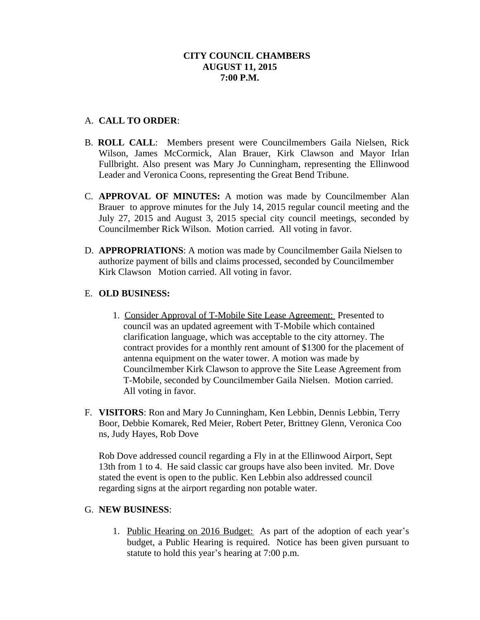### **CITY COUNCIL CHAMBERS AUGUST 11, 2015 7:00 P.M.**

## A. **CALL TO ORDER**:

- B. **ROLL CALL**: Members present were Councilmembers Gaila Nielsen, Rick Wilson, James McCormick, Alan Brauer, Kirk Clawson and Mayor Irlan Fullbright. Also present was Mary Jo Cunningham, representing the Ellinwood Leader and Veronica Coons, representing the Great Bend Tribune.
- C. **APPROVAL OF MINUTES:** A motion was made by Councilmember Alan Brauer to approve minutes for the July 14, 2015 regular council meeting and the July 27, 2015 and August 3, 2015 special city council meetings, seconded by Councilmember Rick Wilson. Motion carried. All voting in favor.
- D. **APPROPRIATIONS**: A motion was made by Councilmember Gaila Nielsen to authorize payment of bills and claims processed, seconded by Councilmember Kirk Clawson Motion carried. All voting in favor.

### E. **OLD BUSINESS:**

- 1. Consider Approval of T-Mobile Site Lease Agreement: Presented to council was an updated agreement with T-Mobile which contained clarification language, which was acceptable to the city attorney. The contract provides for a monthly rent amount of \$1300 for the placement of antenna equipment on the water tower. A motion was made by Councilmember Kirk Clawson to approve the Site Lease Agreement from T-Mobile, seconded by Councilmember Gaila Nielsen. Motion carried. All voting in favor.
- F. **VISITORS**: Ron and Mary Jo Cunningham, Ken Lebbin, Dennis Lebbin, Terry Boor, Debbie Komarek, Red Meier, Robert Peter, Brittney Glenn, Veronica Coo ns, Judy Hayes, Rob Dove

Rob Dove addressed council regarding a Fly in at the Ellinwood Airport, Sept 13th from 1 to 4. He said classic car groups have also been invited. Mr. Dove stated the event is open to the public. Ken Lebbin also addressed council regarding signs at the airport regarding non potable water.

### G. **NEW BUSINESS**:

1. Public Hearing on 2016 Budget: As part of the adoption of each year's budget, a Public Hearing is required. Notice has been given pursuant to statute to hold this year's hearing at 7:00 p.m.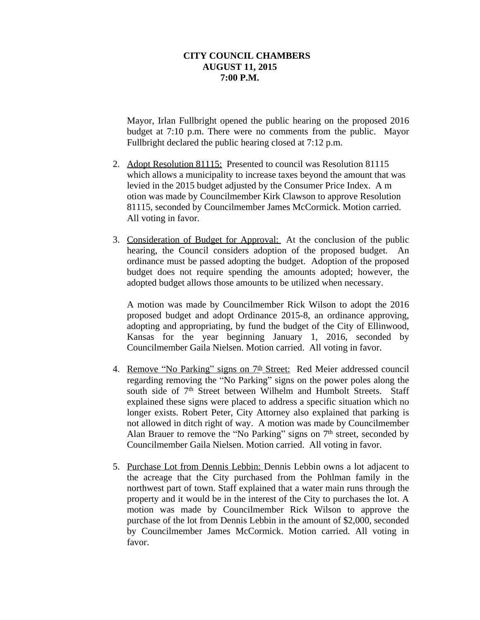#### **CITY COUNCIL CHAMBERS AUGUST 11, 2015 7:00 P.M.**

Mayor, Irlan Fullbright opened the public hearing on the proposed 2016 budget at 7:10 p.m. There were no comments from the public. Mayor Fullbright declared the public hearing closed at 7:12 p.m.

- 2. Adopt Resolution 81115: Presented to council was Resolution 81115 which allows a municipality to increase taxes beyond the amount that was levied in the 2015 budget adjusted by the Consumer Price Index. A m otion was made by Councilmember Kirk Clawson to approve Resolution 81115, seconded by Councilmember James McCormick. Motion carried. All voting in favor.
- 3. Consideration of Budget for Approval: At the conclusion of the public hearing, the Council considers adoption of the proposed budget. An ordinance must be passed adopting the budget. Adoption of the proposed budget does not require spending the amounts adopted; however, the adopted budget allows those amounts to be utilized when necessary.

A motion was made by Councilmember Rick Wilson to adopt the 2016 proposed budget and adopt Ordinance 2015-8, an ordinance approving, adopting and appropriating, by fund the budget of the City of Ellinwood, Kansas for the year beginning January 1, 2016, seconded by Councilmember Gaila Nielsen. Motion carried. All voting in favor.

- 4. Remove "No Parking" signs on 7<sup>th</sup> Street: Red Meier addressed council regarding removing the "No Parking" signs on the power poles along the south side of 7<sup>th</sup> Street between Wilhelm and Humbolt Streets. Staff explained these signs were placed to address a specific situation which no longer exists. Robert Peter, City Attorney also explained that parking is not allowed in ditch right of way. A motion was made by Councilmember Alan Brauer to remove the "No Parking" signs on 7<sup>th</sup> street, seconded by Councilmember Gaila Nielsen. Motion carried. All voting in favor.
- 5. Purchase Lot from Dennis Lebbin: Dennis Lebbin owns a lot adjacent to the acreage that the City purchased from the Pohlman family in the northwest part of town. Staff explained that a water main runs through the property and it would be in the interest of the City to purchases the lot. A motion was made by Councilmember Rick Wilson to approve the purchase of the lot from Dennis Lebbin in the amount of \$2,000, seconded by Councilmember James McCormick. Motion carried. All voting in favor.